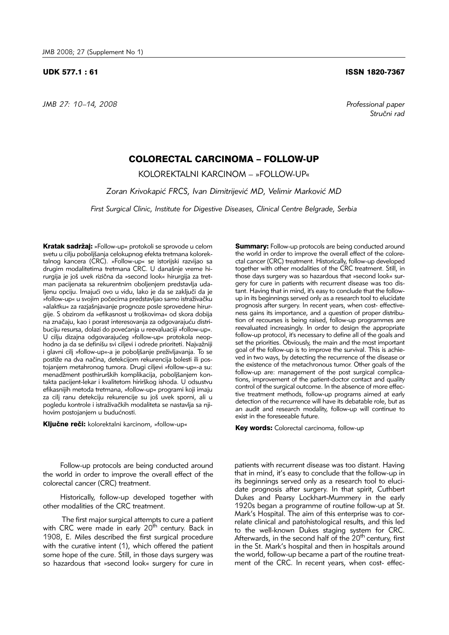*JMB 27: 10–14, 2008 Professional paper*

## UDK 577.1 : 61 ISSN 1820-7367

*Stru~ni rad*

## COLORECTAL CARCINOMA – FOLLOW-UP

KOLOREKTALNI KARCINOM – »FOLLOW-UP«

Zoran Krivokapić FRCS, Ivan Dimitrijević MD, Velimir Marković MD

*First Surgical Clinic, Institute for Digestive Diseases, Clinical Centre Belgrade, Serbia*

Kratak sadržaj: »Follow-up« protokoli se sprovode u celom svetu u cilju poboljšanja celokupnog efekta tretmana kolorektalnog kancera (CRC). »Follow-up« se istorijski razvijao sa drugim modalitetima tretmana CRC. U današnje vreme hirurgija je još uvek rizična da »second look« hirurgija za tretman pacijenata sa rekurentnim oboljenjem predstavlja udaljenu opciju. Imajući ovo u vidu, lako je da se zaključi da je »follow-up« u svojim počecima predstavljao samo istraživačku »alaktku« za razjašnjavanje prognoze posle sprovedene hirurgije. S obzirom da »efikasnost u troškovima« od skora dobija na značaju, kao i porast interesovanja za odgovarajuću distribuciju resursa, dolazi do povećanja u reevaluaciji »follow-up«. U cilju dizajna odgovarajućeg »follow-up« protokola neophodno ja da se definišu svi ciljevi i odrede prioriteti. Najvažniji i glavni cilj »follow-up«-a je poboljšanje preživljavanja. To se postiže na dva načina, detekcijom rekurencija bolesti ili postojanjem metahronog tumora. Drugi ciljevi »follow-up«-a su: menadžment posthirurških komplikacija, poboljšanjem kontakta pacijent-lekar i kvalitetom hirirškog ishoda. U odsustvu efikasnijih metoda tretmana, »follow-up« programi koji imaju za cilj ranu detekciju rekurencije su još uvek sporni, ali u pogledu kontrole i istraživačkih modaliteta se nastavlja sa njihovim postojanjem u budućnosti.

Ključne reči: kolorektalni karcinom, »follow-up«

**Summary:** Follow-up protocols are being conducted around the world in order to improve the overall effect of the colorectal cancer (CRC) treatment. Historically, follow-up developed together with other modalities of the CRC treatment. Still, in those days surgery was so hazardous that »second look« surgery for cure in patients with recurrent disease was too distant. Having that in mind, it's easy to conclude that the followup in its beginnings served only as a research tool to elucidate prognosis after surgery. In recent years, when cost- effectiveness gains its importance, and a question of proper distribution of recourses is being raised, follow-up programmes are reevaluated increasingly. In order to design the appropriate follow-up protocol, it's necessary to define all of the goals and set the priorities. Obviously, the main and the most important goal of the follow-up is to improve the survival. This is achieved in two ways, by detecting the recurrence of the disease or the existence of the metachronous tumor. Other goals of the follow-up are: management of the post surgical complications, improvement of the patient-doctor contact and quality control of the surgical outcome. In the absence of more effective treatment methods, follow-up programs aimed at early detection of the recurrence will have its debatable role, but as an audit and research modality, follow-up will continue to exist in the foreseeable future.

Key words: Colorectal carcinoma, follow-up

Follow-up protocols are being conducted around the world in order to improve the overall effect of the colorectal cancer (CRC) treatment.

Historically, follow-up developed together with other modalities of the CRC treatment.

The first major surgical attempts to cure a patient with CRC were made in early 20<sup>th</sup> century. Back in 1908, E. Miles described the first surgical procedure with the curative intent (1), which offered the patient some hope of the cure. Still, in those days surgery was so hazardous that »second look« surgery for cure in

patients with recurrent disease was too distant. Having that in mind, it's easy to conclude that the follow-up in its beginnings served only as a research tool to elucidate prognosis after surgery. In that spirit, Cuthbert Dukes and Pearsy Lockhart-Mummery in the early 1920s began a programme of routine follow-up at St. Mark's Hospital. The aim of this enterprise was to correlate clinical and patohistological results, and this led to the well-known Dukes staging system for CRC. Afterwards, in the second half of the 20<sup>th</sup> century, first in the St. Mark's hospital and then in hospitals around the world, follow-up became a part of the routine treatment of the CRC. In recent years, when cost- effec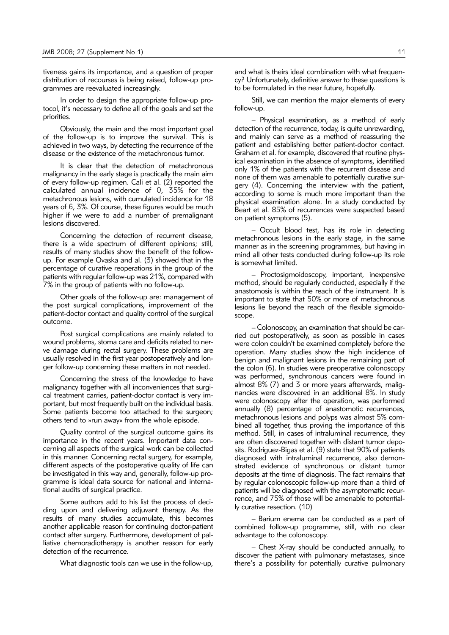tiveness gains its importance, and a question of proper distribution of recourses is being raised, follow-up programmes are reevaluated increasingly.

In order to design the appropriate follow-up protocol, it's necessary to define all of the goals and set the priorities.

Obviously, the main and the most important goal of the follow-up is to improve the survival. This is achieved in two ways, by detecting the recurrence of the disease or the existence of the metachronous tumor.

It is clear that the detection of metachronous malignancy in the early stage is practically the main aim of every follow-up regimen. Cali et al. (2) reported the calculated annual incidence of 0, 35% for the metachronous lesions, with cumulated incidence for 18 years of 6, 3%. Of course, these figures would be much higher if we were to add a number of premalignant lesions discovered.

Concerning the detection of recurrent disease, there is a wide spectrum of different opinions; still, results of many studies show the benefit of the followup. For example Ovaska and al. (3) showed that in the percentage of curative reoperations in the group of the patients with regular follow-up was 21%, compared with 7% in the group of patients with no follow-up.

Other goals of the follow-up are: management of the post surgical complications, improvement of the patient-doctor contact and quality control of the surgical outcome.

Post surgical complications are mainly related to wound problems, stoma care and deficits related to nerve damage during rectal surgery. These problems are usually resolved in the first year postoperatively and longer follow-up concerning these matters in not needed.

Concerning the stress of the knowledge to have malignancy together with all inconveniences that surgical treatment carries, patient-doctor contact is very important, but most frequently built on the individual basis. Some patients become too attached to the surgeon; others tend to »run away« from the whole episode.

Quality control of the surgical outcome gains its importance in the recent years. Important data concerning all aspects of the surgical work can be collected in this manner. Concerning rectal surgery, for example, different aspects of the postoperative quality of life can be investigated in this way and, generally, follow-up programme is ideal data source for national and international audits of surgical practice.

Some authors add to his list the process of deciding upon and delivering adjuvant therapy. As the results of many studies accumulate, this becomes another applicable reason for continuing doctor-patient contact after surgery. Furthermore, development of palliative chemoradiotherapy is another reason for early detection of the recurrence.

What diagnostic tools can we use in the follow-up,

and what is theirs ideal combination with what frequency? Unfortunately, definitive answer to these questions is to be formulated in the near future, hopefully.

Still, we can mention the major elements of every follow-up.

– Physical examination, as a method of early detection of the recurrence, today, is quite unrewarding, and mainly can serve as a method of reassuring the patient and establishing better patient-doctor contact. Graham et al. for example, discovered that routine physical examination in the absence of symptoms, identified only 1% of the patients with the recurrent disease and none of them was amenable to potentially curative surgery (4). Concerning the interview with the patient, according to some is much more important than the physical examination alone. In a study conducted by Beart et al. 85% of recurrences were suspected based on patient symptoms (5).

– Occult blood test, has its role in detecting metachronous lesions in the early stage, in the same manner as in the screening programmes, but having in mind all other tests conducted during follow-up its role is somewhat limited.

– Proctosigmoidoscopy, important, inexpensive method, should be regularly conducted, especially if the anastomosis is within the reach of the instrument. It is important to state that 50% or more of metachronous lesions lie beyond the reach of the flexible sigmoidoscope.

– Colonoscopy, an examination that should be carried out postoperatively, as soon as possible in cases were colon couldn't be examined completely before the operation. Many studies show the high incidence of benign and malignant lesions in the remaining part of the colon (6). In studies were preoperative colonoscopy was performed, synchronous cancers were found in almost 8% (7) and 3 or more years afterwards, malignancies were discovered in an additional 8%. In study were colonoscopy after the operation, was performed annually (8) percentage of anastomotic recurrences, metachronous lesions and polyps was almost 5% combined all together, thus proving the importance of this method. Still, in cases of intraluminal recurrence, they are often discovered together with distant tumor deposits. Rodriguez-Bigas et al. (9) state that 90% of patients diagnosed with intraluminal recurrence, also demonstrated evidence of synchronous or distant tumor deposits at the time of diagnosis. The fact remains that by regular colonoscopic follow-up more than a third of patients will be diagnosed with the asymptomatic recurrence, and 75% of those will be amenable to potentially curative resection. (10)

– Barium enema can be conducted as a part of combined follow-up programme, still, with no clear advantage to the colonoscopy.

– Chest X-ray should be conducted annually, to discover the patient with pulmonary metastases, since there's a possibility for potentially curative pulmonary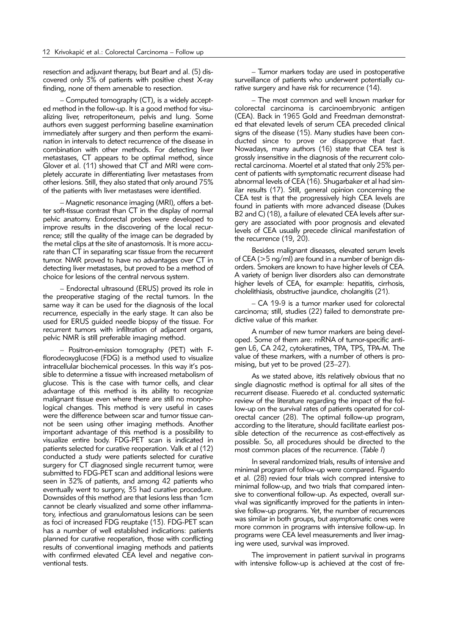resection and adjuvant therapy, but Beart and al. (5) discovered only 3% of patients with positive chest X-ray finding, none of them amenable to resection.

– Computed tomography (CT), is a widely accepted method in the follow-up. It is a good method for visualizing liver, retroperitoneum, pelvis and lung. Some authors even suggest performing baseline examination immediately after surgery and then perform the examination in intervals to detect recurrence of the disease in combination with other methods. For detecting liver metastases, CT appears to be optimal method, since Glover et al. (11) showed that CT and MRI were completely accurate in differentiating liver metastases from other lesions. Still, they also stated that only around 75% of the patients with liver metastases were identified.

– Magnetic resonance imaging (MRI), offers a better soft-tissue contrast than CT in the display of normal pelvic anatomy. Endorectal probes were developed to improve results in the discovering of the local recurrence; still the quality of the image can be degraded by the metal clips at the site of anastomosis. It is more accurate than CT in separating scar tissue from the recurrent tumor. NMR proved to have no advantages over CT in detecting liver metastases, but proved to be a method of choice for lesions of the central nervous system.

– Endorectal ultrasound (ERUS) proved its role in the preoperative staging of the rectal tumors. In the same way it can be used for the diagnosis of the local recurrence, especially in the early stage. It can also be used for ERUS guided needle biopsy of the tissue. For recurrent tumors with infiltration of adjacent organs, pelvic NMR is still preferable imaging method.

– Positron-emission tomography (PET) with Fflorodeoxyglucose (FDG) is a method used to visualize intracellular biochemical processes. In this way it's possible to determine a tissue with increased metabolism of glucose. This is the case with tumor cells, and clear advantage of this method is its ability to recognize malignant tissue even where there are still no morphological changes. This method is very useful in cases were the difference between scar and tumor tissue cannot be seen using other imaging methods. Another important advantage of this method is a possibility to visualize entire body. FDG-PET scan is indicated in patients selected for curative reoperation. Valk et al (12) conducted a study were patients selected for curative surgery for CT diagnosed single recurrent tumor, were submitted to FDG-PET scan and additional lesions were seen in 32% of patients, and among 42 patients who eventually went to surgery, 35 had curative procedure. Downsides of this method are that lesions less than 1cm cannot be clearly visualized and some other inflammatory, infectious and granulomatous lesions can be seen as foci of increased FDG reuptake (13). FDG-PET scan has a number of well established indications: patients planned for curative reoperation, those with conflicting results of conventional imaging methods and patients with confirmed elevated CEA level and negative conventional tests.

– Tumor markers today are used in postoperative surveillance of patients who underwent potentially curative surgery and have risk for recurrence (14).

– The most common and well known marker for colorectal carcinoma is carcinoembryonic antigen (CEA). Back in 1965 Gold and Freedman demonstrated that elevated levels of serum CEA preceded clinical signs of the disease (15). Many studies have been conducted since to prove or disapprove that fact. Nowadays, many authors (16) state that CEA test is grossly insensitive in the diagnosis of the recurrent colorectal carcinoma. Moertel et al stated that only 25% percent of patients with symptomatic recurrent disease had abnormal levels of CEA (16). Shugarbaker et al had similar results (17). Still, general opinion concerning the CEA test is that the progressively high CEA levels are found in patients with more advanced disease (Dukes B2 and C) (18), a failure of elevated CEA levels after surgery are associated with poor prognosis and elevated levels of CEA usually precede clinical manifestation of the recurrence (19, 20).

Besides malignant diseases, elevated serum levels of CEA (>5 ng/ml) are found in a number of benign disorders. Smokers are known to have higher levels of CEA. A variety of benign liver disorders also can demonstrate higher levels of CEA, for example: hepatitis, cirrhosis, cholelithiasis, obstructive jaundice, cholangitis (21).

– CA 19-9 is a tumor marker used for colorectal carcinoma; still, studies (22) failed to demonstrate predictive value of this marker.

A number of new tumor markers are being developed. Some of them are: mRNA of tumor-specific antigen L6, CA 242, cytokeratines, TPA, TPS, TPA-M. The value of these markers, with a number of others is promising, but yet to be proved (23–27).

As we stated above, itžs relatively obvious that no single diagnostic method is optimal for all sites of the recurrent disease. Fiueredo et al. conducted systematic review of the literature regarding the impact of the follow-up on the survival rates of patients operated for colorectal cancer (28). The optimal follow-up program, according to the literature, should facilitate earliest possible detection of the recurrence as cost-effectively as possible. So, all procedures should be directed to the most common places of the recurrence. (*Table I*)

In several randomized trials, results of intensive and minimal program of follow-up were compared. Figuerdo et al. (28) revied four trials wich compred intensive to minimal follow-up, and two trials that compared intensive to conventional follow-up. As expected, overall survival was significantly improved for the patients in intensive follow-up programs. Yet, the number of recurrences was similar in both groups, but asymptomatic ones were more common in programs with intensive follow-up. In programs were CEA level measurements and liver imaging were used, survival was improved.

The improvement in patient survival in programs with intensive follow-up is achieved at the cost of fre-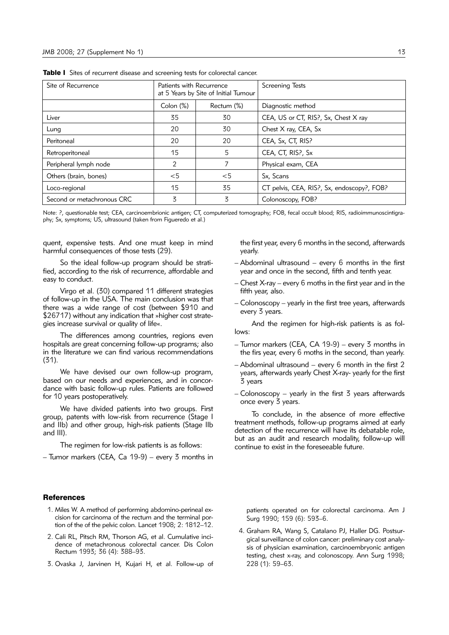| Site of Recurrence         | Patients with Recurrence<br>at 5 Years by Site of Initial Tumour |            | <b>Screening Tests</b>                     |
|----------------------------|------------------------------------------------------------------|------------|--------------------------------------------|
|                            | $\mathsf{Colon}(\%)$                                             | Rectum (%) | Diagnostic method                          |
| Liver                      | 35                                                               | 30         | CEA, US or CT, RIS?, Sx, Chest X ray       |
| Lung                       | 20                                                               | 30         | Chest X ray, CEA, Sx                       |
| Peritoneal                 | 20                                                               | 20         | CEA, Sx, CT, RIS?                          |
| Retroperitoneal            | 15                                                               | 5          | CEA, CT, RIS?, Sx                          |
| Peripheral lymph node      | 2                                                                |            | Physical exam, CEA                         |
| Others (brain, bones)      | $<$ 5                                                            | $<$ 5      | Sx, Scans                                  |
| Loco-regional              | 15                                                               | 35         | CT pelvis, CEA, RIS?, Sx, endoscopy?, FOB? |
| Second or metachronous CRC | 3                                                                | 3          | Colonoscopy, FOB?                          |

Table I Sites of recurrent disease and screening tests for colorectal cancer.

Note: ?, questionable test; CEA, carcinoembrionic antigen; CT, computerized tomography; FOB, fecal occult blood; RIS, radioimmunoscintigraphy; Sx, symptoms; US, ultrasound (taken from Figueredo et al.)

quent, expensive tests. And one must keep in mind harmful consequences of those tests (29).

So the ideal follow-up program should be stratified, according to the risk of recurrence, affordable and easy to conduct.

Virgo et al. (30) compared 11 different strategies of follow-up in the USA. The main conclusion was that there was a wide range of cost (between \$910 and \$26717) without any indication that »higher cost strategies increase survival or quality of life«.

The differences among countries, regions even hospitals are great concerning follow-up programs; also in the literature we can find various recommendations (31).

We have devised our own follow-up program, based on our needs and experiences, and in concordance with basic follow-up rules. Patients are followed for 10 years postoperatively.

We have divided patients into two groups. First group, patents with low-risk from recurrence (Stage I and IIb) and other group, high-risk patients (Stage IIb and III).

The regimen for low-risk patients is as follows:

– Tumor markers (CEA, Ca 19-9) – every 3 months in

the first year, every 6 months in the second, afterwards yearly.

- Abdominal ultrasound every 6 months in the first year and once in the second, fifth and tenth year.
- Chest X-ray every 6 moths in the first year and in the fifth year, also.
- Colonoscopy yearly in the first tree years, afterwards every 3 years.

And the regimen for high-risk patients is as follows:

- Tumor markers (CEA, CA 19-9) every 3 months in the firs year, every 6 moths in the second, than yearly.
- Abdominal ultrasound every 6 month in the first 2 years, afterwards yearly Chest X-ray- yearly for the first 3 years
- Colonoscopy yearly in the first 3 years afterwards once every 3 years.

To conclude, in the absence of more effective treatment methods, follow-up programs aimed at early detection of the recurrence will have its debatable role, but as an audit and research modality, follow-up will continue to exist in the foreseeable future.

## References

- 1. Miles W. A method of performing abdomino-perineal excision for carcinoma of the rectum and the terminal portion of the of the pelvic colon. Lancet 1908; 2: 1812–12.
- 2. Cali RL, Pitsch RM, Thorson AG, et al. Cumulative incidence of metachronous colorectal cancer. Dis Colon Rectum 1993; 36 (4): 388–93.
- 3. Ovaska J, Jarvinen H, Kujari H, et al. Follow-up of

patients operated on for colorectal carcinoma. Am J Surg 1990; 159 (6): 593–6.

4. Graham RA, Wang S, Catalano PJ, Haller DG. Postsurgical surveillance of colon cancer: preliminary cost analysis of physician examination, carcinoembryonic antigen testing, chest x-ray, and colonoscopy. Ann Surg 1998; 228 (1): 59–63.